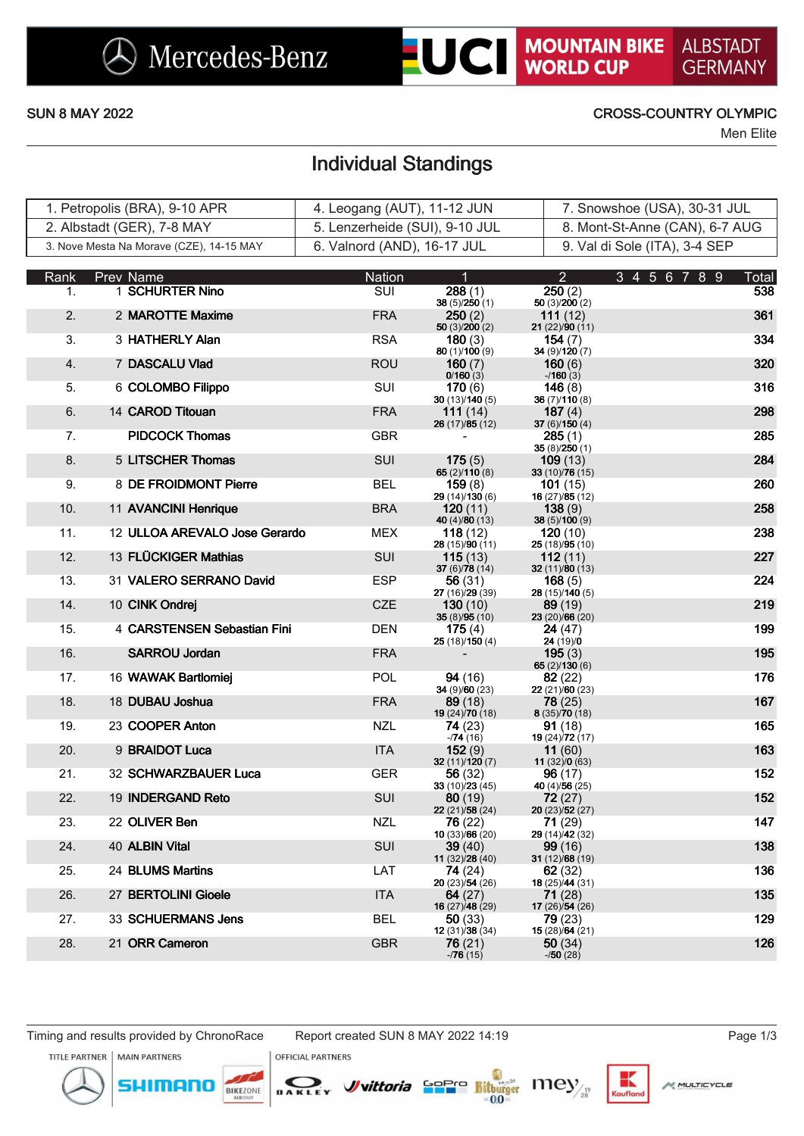# **UCI MOUNTAIN BIKE**

**ALBSTADT GERMANY** 

### SUN 8 MAY 2022 CROSS-COUNTRY OLYMPIC

Men Elite

## Individual Standings

| 1. Petropolis (BRA), 9-10 APR            | 4. Leogang (AUT), 11-12 JUN    | 7. Snowshoe (USA), 30-31 JUL   |
|------------------------------------------|--------------------------------|--------------------------------|
| 2. Albstadt (GER), 7-8 MAY               | 5. Lenzerheide (SUI), 9-10 JUL | 8. Mont-St-Anne (CAN), 6-7 AUG |
| 3. Nove Mesta Na Morave (CZE), 14-15 MAY | 6. Valnord (AND), 16-17 JUL    | 9. Val di Sole (ITA), 3-4 SEP  |

| Rank | <b>Prev Name</b>              | <b>Nation</b> | 1                                 | $\overline{2}$                     | 3 4 5 6 7 8 9 | <b>Total</b> |
|------|-------------------------------|---------------|-----------------------------------|------------------------------------|---------------|--------------|
| 1.   | 1 SCHURTER Nino               | SUI           | 288(1)<br>38(5)/250(1)            | 250(2)<br>50 (3)/200 (2)           |               | 538          |
| 2.   | 2 MAROTTE Maxime              | <b>FRA</b>    | 250(2)<br>50(3)/200(2)            | 111 $(12)$<br>21 (22)/90 (11)      |               | 361          |
| 3.   | 3 HATHERLY Alan               | <b>RSA</b>    | <b>180</b> $(3)$                  | 154 $(7)$<br>34 (9)/120 (7)        |               | 334          |
| 4.   | 7 DASCALU Vlad                | <b>ROU</b>    | 80 (1)/100 (9)<br>160 $(7)$       | 160(6)                             |               | 320          |
| 5.   | 6 COLOMBO Filippo             | <b>SUI</b>    | 0/160(3)<br>170(6)                | $-160(3)$<br>146 $(8)$             |               | 316          |
| 6.   | 14 CAROD Titouan              | <b>FRA</b>    | 30(13)/140(5)<br>111 $(14)$       | 36 (7)/110 (8)<br>187 $(4)$        |               | 298          |
| 7.   | <b>PIDCOCK Thomas</b>         | <b>GBR</b>    | 26 (17)/85 (12)                   | 37 $(6)/150(4)$<br>285 (1)         |               | 285          |
| 8.   | 5 LITSCHER Thomas             | <b>SUI</b>    | 175(5)                            | 35(8)/250(1)<br>109(13)            |               | 284          |
| 9.   | 8 DE FROIDMONT Pierre         | <b>BEL</b>    | 65(2)/110(8)<br>159(8)            | 33 (10)/76 (15)<br><b>101</b> (15) |               | 260          |
| 10.  | 11 AVANCINI Henrique          | <b>BRA</b>    | 29 (14)/130 (6)<br>120(11)        | 16 (27)/85 (12)<br>138(9)          |               | 258          |
| 11.  | 12 ULLOA AREVALO Jose Gerardo | MEX           | 40 (4)/80 (13)<br>118 $(12)$      | 38 (5)/100 (9)<br>120(10)          |               | 238          |
| 12.  | 13 FLÜCKIGER Mathias          | <b>SUI</b>    | 28 (15)/90 (11)<br>115(13)        | 25 (18)/95 (10)<br>112 $(11)$      |               | 227          |
|      |                               |               | 37 (6)/78 (14)                    | 32 $(11)/80(13)$                   |               |              |
| 13.  | 31 VALERO SERRANO David       | <b>ESP</b>    | 56 (31)<br>27 (16)/29 (39)        | 168(5)<br>28 (15)/140 (5)          |               | 224          |
| 14.  | 10 CINK Ondrej                | <b>CZE</b>    | 130(10)<br>35(8)/95(10)           | 89(19)<br>23 (20)/66 (20)          |               | 219          |
| 15.  | 4 CARSTENSEN Sebastian Fini   | <b>DEN</b>    | 175 $(4)$<br>25 (18)/150 (4)      | 24 (47)<br>24 (19)/0               |               | 199          |
| 16.  | <b>SARROU Jordan</b>          | <b>FRA</b>    |                                   | 195(3)<br>65 $(2)/130(6)$          |               | 195          |
| 17.  | 16 WAWAK Bartlomiej           | <b>POL</b>    | 94 (16)                           | 82(22)                             |               | 176          |
| 18.  | 18 DUBAU Joshua               | <b>FRA</b>    | 34 (9)/60 (23)<br>89(18)          | 22(21)/60(23)<br>78(25)            |               | 167          |
| 19.  | 23 COOPER Anton               | <b>NZL</b>    | 19 (24)/70 (18)<br>74 (23)        | 8(35)/70(18)<br>91 (18)            |               | 165          |
| 20.  | 9 BRAIDOT Luca                | <b>ITA</b>    | $-74(16)$<br>152(9)               | 19 (24)/72 (17)<br>11(60)          |               | 163          |
| 21.  | 32 SCHWARZBAUER Luca          | <b>GER</b>    | 32 (11)/120 (7)<br>56 (32)        | 11(32)/0(63)<br>96(17)             |               | 152          |
|      |                               |               | 33 (10)/23 (45)                   | 40 (4)/56 (25)                     |               |              |
| 22.  | 19 INDERGAND Reto             | SUI           | 80(19)<br>22 (21)/58 (24)         | 72 (27)<br>20 (23)/52 (27)         |               | 152          |
| 23.  | 22 OLIVER Ben                 | <b>NZL</b>    | 76 (22)<br>10 (33)/66 (20)        | 71(29)<br>29 (14)/42 (32)          |               | 147          |
| 24.  | 40 ALBIN Vital                | SUI           | <b>39</b> (40)<br>11 (32)/28 (40) | <b>99</b> (16)<br>31 (12)/68 (19)  |               | 138          |
| 25.  | 24 BLUMS Martins              | LAT           | 74 (24)                           | 62(32)                             |               | 136          |
| 26.  | 27 BERTOLINI Gioele           | <b>ITA</b>    | 20 (23)/54 (26)<br>64 $(27)$      | 18 (25)/44 (31)<br>71 (28)         |               | 135          |
| 27.  | 33 SCHUERMANS Jens            | <b>BEL</b>    | 16 (27)/48 (29)<br>50 (33)        | 17 (26)/54 (26)<br>79 (23)         |               | 129          |
| 28.  | 21 ORR Cameron                | <b>GBR</b>    | 12(31)/38(34)<br>76 (21)          | 15 (28)/64 (21)<br>50(34)          |               | 126          |
|      |                               |               | $-76(15)$                         | $-150(28)$                         |               |              |

TITLE PARTNER **MAIN PARTNERS** 

mon

 $\sum_{B \text{ A K L E}}$ **BIKEZONE** 

**OFFICIAL PARTNERS** 

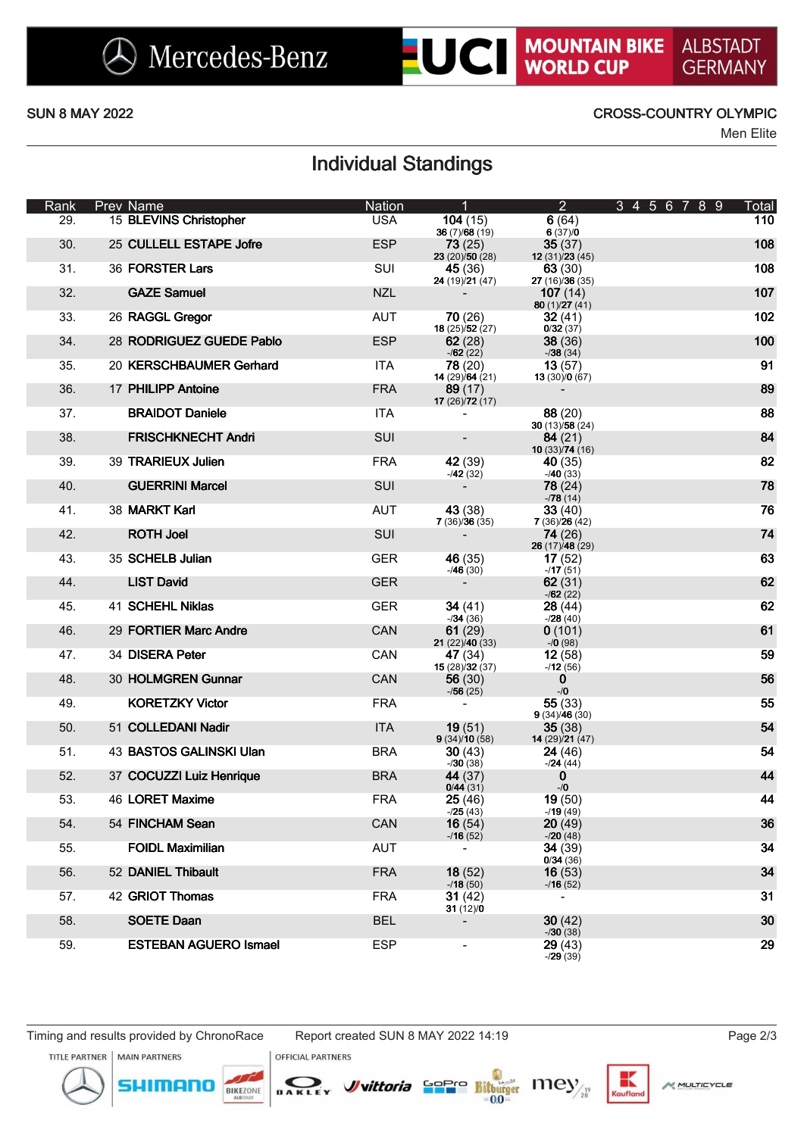# **UCI MOUNTAIN BIKE**

### SUN 8 MAY 2022 CROSS-COUNTRY OLYMPIC

Men Elite

## Individual Standings

| Rank | Prev Name                    | Nation     | $\overline{1}$                        | $2 -$                             | 3 4 5 6 7 8 9 | Total |
|------|------------------------------|------------|---------------------------------------|-----------------------------------|---------------|-------|
| 29.  | 15 BLEVINS Christopher       | <b>USA</b> | 104(15)<br>36 $(7)/68(19)$            | 6(64)<br>6(37)/0                  |               | 110   |
| 30.  | 25 CULLELL ESTAPE Jofre      | <b>ESP</b> | <b>73</b> (25)                        | 35(37)                            |               | 108   |
| 31.  | 36 FORSTER Lars              | SUI        | 23(20)/50(28)<br>45 (36)              | 12(31)/23(45)<br>63(30)           |               | 108   |
| 32.  | <b>GAZE Samuel</b>           | <b>NZL</b> | 24 (19)/21 (47)<br>$\sim$ $^{-1}$     | 27 (16)/36 (35)<br>107(14)        |               | 107   |
| 33.  | 26 RAGGL Gregor              | <b>AUT</b> | 70(26)                                | 80 $(1)/27(41)$<br>32(41)         |               | 102   |
|      |                              |            | <b>18</b> (25) $\overline{52}$ (27)   | 0/32(37)                          |               |       |
| 34.  | 28 RODRIGUEZ GUEDE Pablo     | <b>ESP</b> | 62(28)<br>$-162(22)$                  | 38(36)<br>$-38(34)$               |               | 100   |
| 35.  | 20 KERSCHBAUMER Gerhard      | <b>ITA</b> | <b>78</b> (20)<br>14(29)/64(21)       | 13(57)<br>13(30)/0(67)            |               | 91    |
| 36.  | 17 PHILIPP Antoine           | <b>FRA</b> | 89(17)                                | $\blacksquare$                    |               | 89    |
| 37.  | <b>BRAIDOT Daniele</b>       | <b>ITA</b> | 17 $(26)/72(17)$<br>$\blacksquare$    | 88(20)                            |               | 88    |
| 38.  | <b>FRISCHKNECHT Andri</b>    | <b>SUI</b> | $\blacksquare$                        | 30 $(13)/58(24)$<br>84(21)        |               | 84    |
| 39.  | 39 TRARIEUX Julien           | <b>FRA</b> | 42 (39)                               | 10(33)/74(16)<br>40(35)           |               | 82    |
|      |                              |            | $-42(32)$                             | $-40(33)$                         |               |       |
| 40.  | <b>GUERRINI Marcel</b>       | <b>SUI</b> | $\sim 100$                            | 78(24)<br>$-78(14)$               |               | 78    |
| 41.  | 38 MARKT Karl                | AUT        | 43 (38)<br>7(36)/36(35)               | 33(40)<br>7(36)/26(42)            |               | 76    |
| 42.  | <b>ROTH Joel</b>             | <b>SUI</b> | $\sim 100$                            | <b>74</b> (26)<br>26 (17)/48 (29) |               | 74    |
| 43.  | 35 SCHELB Julian             | <b>GER</b> | 46 (35)                               | 17(52)                            |               | 63    |
| 44.  | <b>LIST David</b>            | <b>GER</b> | $-46(30)$<br>$\sim 100$               | $-17(51)$<br>62(31)               |               | 62    |
| 45.  | 41 SCHEHL Niklas             | <b>GER</b> | 34 $(41)$                             | $-162(22)$<br>28(44)              |               | 62    |
|      |                              | CAN        | $-34(36)$                             | $-28(40)$                         |               | 61    |
| 46.  | 29 FORTIER Marc Andre        |            | 61 $(29)$<br><b>21</b> (22) $/40(33)$ | 0(101)<br>$-70(98)$               |               |       |
| 47.  | 34 DISERA Peter              | CAN        | 47 (34)<br>15(28)/32(37)              | 12(58)<br>$-12(56)$               |               | 59    |
| 48.  | 30 HOLMGREN Gunnar           | <b>CAN</b> | 56 $(30)$<br>$-756(25)$               | $\bf{0}$<br>$-10$                 |               | 56    |
| 49.  | <b>KORETZKY Victor</b>       | <b>FRA</b> | $\sim$                                | 55(33)                            |               | 55    |
| 50.  | 51 COLLEDANI Nadir           | <b>ITA</b> | <b>19</b> (51)                        | 9(34)/46(30)<br>35(38)            |               | 54    |
| 51.  | 43 BASTOS GALINSKI Ulan      | BRA        | 9(34)/10(58)<br>30(43)                | 14 (29)/21 (47)<br>24(46)         |               | 54    |
| 52.  | 37 COCUZZI Luiz Henrique     | <b>BRA</b> | $-730(38)$<br>44 (37)                 | $-24(44)$<br>$\mathbf 0$          |               | 44    |
|      |                              |            | 0/44(31)                              | $-10$                             |               |       |
| 53.  | 46 LORET Maxime              | <b>FRA</b> | 25(46)<br>$-25(43)$                   | 19(50)<br>$-19(49)$               |               | 44    |
| 54.  | 54 FINCHAM Sean              | CAN        | 16(54)<br>$-16(52)$                   | 20(49)<br>$-20(48)$               |               | 36    |
| 55.  | <b>FOIDL Maximilian</b>      | <b>AUT</b> |                                       | 34(39)<br>0/34(36)                |               | 34    |
| 56.  | 52 DANIEL Thibault           | <b>FRA</b> | 18(52)                                | 16(53)                            |               | 34    |
| 57.  | 42 GRIOT Thomas              | <b>FRA</b> | $-18(50)$<br>31(42)                   | $-16(52)$                         |               | 31    |
| 58.  | <b>SOETE Daan</b>            | <b>BEL</b> | 31(12)/0                              | 30(42)                            |               | 30    |
|      |                              |            |                                       | $-30(38)$                         |               |       |
| 59.  | <b>ESTEBAN AGUERO Ismael</b> | <b>ESP</b> |                                       | 29(43)<br>$-29(39)$               |               | 29    |

mor

**OFFICIAL PARTNERS** 

DAKLEY

TITLE PARTNER | MAIN PARTNERS